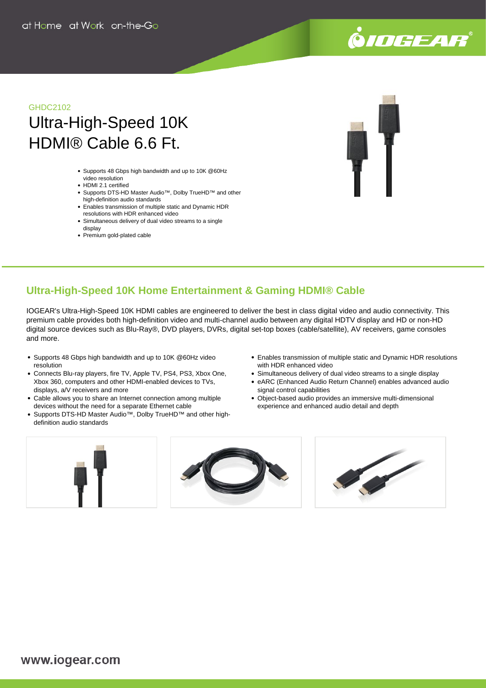# .<br>©*IOGEAR*

# GHDC2102 Ultra-High-Speed 10K HDMI® Cable 6.6 Ft.

- Supports 48 Gbps high bandwidth and up to 10K @60Hz video resolution
- HDMI 2.1 certified
- Supports DTS-HD Master Audio™, Dolby TrueHD™ and other high-definition audio standards
- Enables transmission of multiple static and Dynamic HDR resolutions with HDR enhanced video
- Simultaneous delivery of dual video streams to a single display
- Premium gold-plated cable



## **Ultra-High-Speed 10K Home Entertainment & Gaming HDMI® Cable**

IOGEAR's Ultra-High-Speed 10K HDMI cables are engineered to deliver the best in class digital video and audio connectivity. This premium cable provides both high-definition video and multi-channel audio between any digital HDTV display and HD or non-HD digital source devices such as Blu-Ray®, DVD players, DVRs, digital set-top boxes (cable/satellite), AV receivers, game consoles and more.

- Supports 48 Gbps high bandwidth and up to 10K @60Hz video resolution
- Connects Blu-ray players, fire TV, Apple TV, PS4, PS3, Xbox One, Xbox 360, computers and other HDMI-enabled devices to TVs, displays, a/V receivers and more
- Cable allows you to share an Internet connection among multiple devices without the need for a separate Ethernet cable
- Supports DTS-HD Master Audio<sup>™</sup>, Dolby TrueHD<sup>™</sup> and other highdefinition audio standards
- Enables transmission of multiple static and Dynamic HDR resolutions with HDR enhanced video
- Simultaneous delivery of dual video streams to a single display
- eARC (Enhanced Audio Return Channel) enables advanced audio signal control capabilities
- Object-based audio provides an immersive multi-dimensional experience and enhanced audio detail and depth